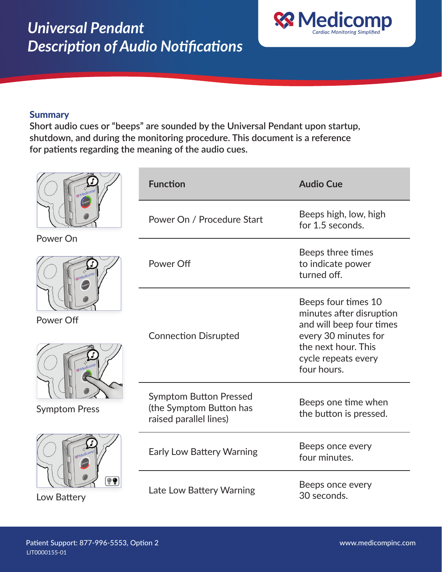

## **Summary**

**Short audio cues or "beeps" are sounded by the Universal Pendant upon startup, shutdown, and during the monitoring procedure. This document is a reference for patients regarding the meaning of the audio cues.** 

|                                   | <b>Function</b>                                                                    | <b>Audio Cue</b>                                                                                                                                                 |
|-----------------------------------|------------------------------------------------------------------------------------|------------------------------------------------------------------------------------------------------------------------------------------------------------------|
|                                   | Power On / Procedure Start                                                         | Beeps high, low, high<br>for 1.5 seconds.                                                                                                                        |
| Power On                          | Power Off                                                                          | Beeps three times<br>to indicate power<br>turned off.                                                                                                            |
| Power Off<br><b>Symptom Press</b> | <b>Connection Disrupted</b>                                                        | Beeps four times 10<br>minutes after disruption<br>and will beep four times<br>every 30 minutes for<br>the next hour. This<br>cycle repeats every<br>four hours. |
|                                   | <b>Symptom Button Pressed</b><br>(the Symptom Button has<br>raised parallel lines) | Beeps one time when<br>the button is pressed.                                                                                                                    |
| Low Battery                       | Early Low Battery Warning                                                          | Beeps once every<br>four minutes.                                                                                                                                |
|                                   | Late Low Battery Warning                                                           | Beeps once every<br>30 seconds.                                                                                                                                  |